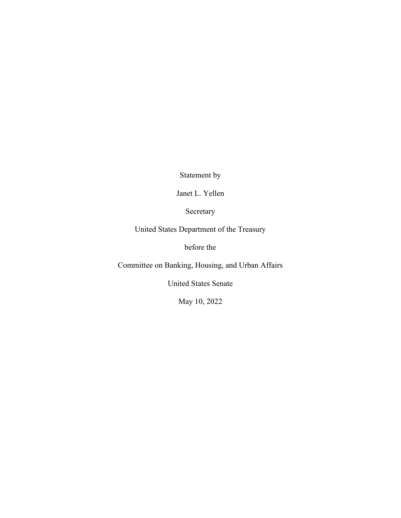Statement by

Janet L. Yellen

Secretary

United States Department of the Treasury

before the

Committee on Banking, Housing, and Urban Affairs

United States Senate

May 10, 2022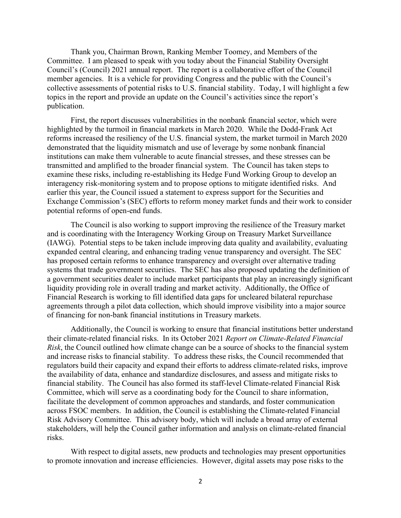Thank you, Chairman Brown, Ranking Member Toomey, and Members of the Committee. I am pleased to speak with you today about the Financial Stability Oversight Council's (Council) 2021 annual report. The report is a collaborative effort of the Council member agencies. It is a vehicle for providing Congress and the public with the Council's collective assessments of potential risks to U.S. financial stability. Today, I will highlight a few topics in the report and provide an update on the Council's activities since the report's publication.

First, the report discusses vulnerabilities in the nonbank financial sector, which were highlighted by the turmoil in financial markets in March 2020. While the Dodd-Frank Act reforms increased the resiliency of the U.S. financial system, the market turmoil in March 2020 demonstrated that the liquidity mismatch and use of leverage by some nonbank financial institutions can make them vulnerable to acute financial stresses, and these stresses can be transmitted and amplified to the broader financial system. The Council has taken steps to examine these risks, including re-establishing its Hedge Fund Working Group to develop an interagency risk-monitoring system and to propose options to mitigate identified risks. And earlier this year, the Council issued a statement to express support for the Securities and Exchange Commission's (SEC) efforts to reform money market funds and their work to consider potential reforms of open-end funds.

The Council is also working to support improving the resilience of the Treasury market and is coordinating with the Interagency Working Group on Treasury Market Surveillance (IAWG). Potential steps to be taken include improving data quality and availability, evaluating expanded central clearing, and enhancing trading venue transparency and oversight. The SEC has proposed certain reforms to enhance transparency and oversight over alternative trading systems that trade government securities. The SEC has also proposed updating the definition of a government securities dealer to include market participants that play an increasingly significant liquidity providing role in overall trading and market activity. Additionally, the Office of Financial Research is working to fill identified data gaps for uncleared bilateral repurchase agreements through a pilot data collection, which should improve visibility into a major source of financing for non-bank financial institutions in Treasury markets.

Additionally, the Council is working to ensure that financial institutions better understand their climate-related financial risks. In its October 2021 *Report on Climate-Related Financial Risk*, the Council outlined how climate change can be a source of shocks to the financial system and increase risks to financial stability. To address these risks, the Council recommended that regulators build their capacity and expand their efforts to address climate-related risks, improve the availability of data, enhance and standardize disclosures, and assess and mitigate risks to financial stability. The Council has also formed its staff-level Climate-related Financial Risk Committee, which will serve as a coordinating body for the Council to share information, facilitate the development of common approaches and standards, and foster communication across FSOC members. In addition, the Council is establishing the Climate-related Financial Risk Advisory Committee. This advisory body, which will include a broad array of external stakeholders, will help the Council gather information and analysis on climate-related financial risks.

With respect to digital assets, new products and technologies may present opportunities to promote innovation and increase efficiencies. However, digital assets may pose risks to the